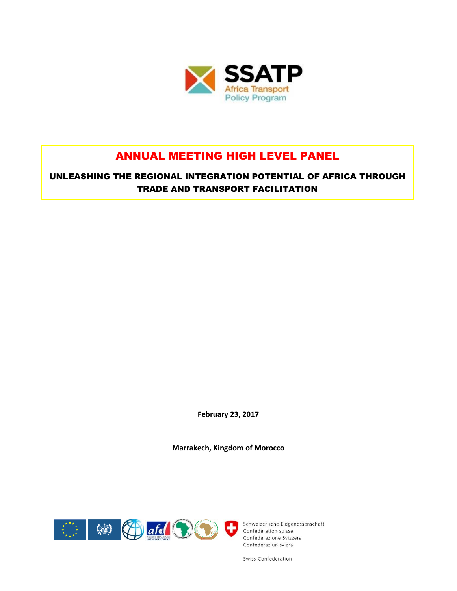

# ANNUAL MEETING HIGH LEVEL PANEL

UNLEASHING THE REGIONAL INTEGRATION POTENTIAL OF AFRICA THROUGH TRADE AND TRANSPORT FACILITATION

**February 23, 2017**

**Marrakech, Kingdom of Morocco**



Schweizerische Eidgenossenschaft Confederazione Svizzera Confederaziun svizra

Swiss Confederation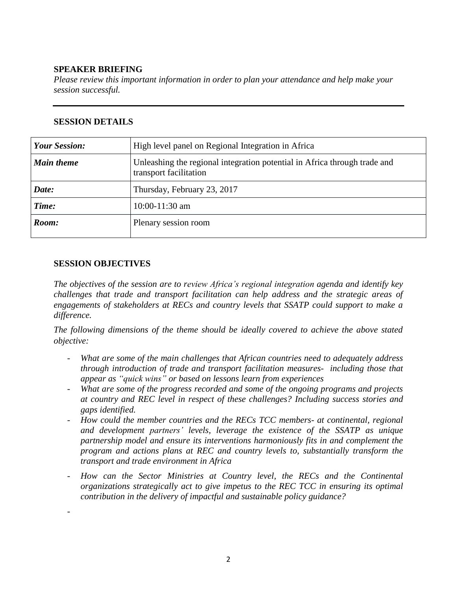#### **SPEAKER BRIEFING**

*Please review this important information in order to plan your attendance and help make your session successful.*

| <b>Your Session:</b> | High level panel on Regional Integration in Africa                                                  |
|----------------------|-----------------------------------------------------------------------------------------------------|
| <b>Main theme</b>    | Unleashing the regional integration potential in Africa through trade and<br>transport facilitation |
| Date:                | Thursday, February 23, 2017                                                                         |
| Time:                | $10:00-11:30$ am                                                                                    |
| Room:                | Plenary session room                                                                                |

#### **SESSION DETAILS**

#### **SESSION OBJECTIVES**

-

*The objectives of the session are to review Africa's regional integration agenda and identify key challenges that trade and transport facilitation can help address and the strategic areas of engagements of stakeholders at RECs and country levels that SSATP could support to make a difference.*

*The following dimensions of the theme should be ideally covered to achieve the above stated objective:*

- *What are some of the main challenges that African countries need to adequately address through introduction of trade and transport facilitation measures- including those that appear as "quick wins" or based on lessons learn from experiences*
- *What are some of the progress recorded and some of the ongoing programs and projects at country and REC level in respect of these challenges? Including success stories and gaps identified.*
- *How could the member countries and the RECs TCC members- at continental, regional and development partners' levels, leverage the existence of the SSATP as unique partnership model and ensure its interventions harmoniously fits in and complement the program and actions plans at REC and country levels to, substantially transform the transport and trade environment in Africa*
- *How can the Sector Ministries at Country level, the RECs and the Continental organizations strategically act to give impetus to the REC TCC in ensuring its optimal contribution in the delivery of impactful and sustainable policy guidance?*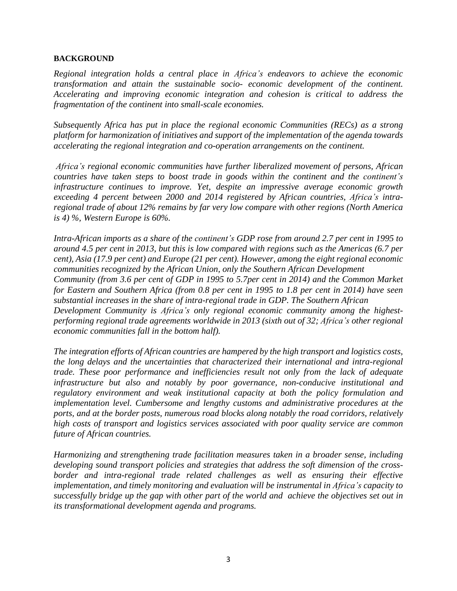#### **BACKGROUND**

*Regional integration holds a central place in Africa's endeavors to achieve the economic transformation and attain the sustainable socio- economic development of the continent. Accelerating and improving economic integration and cohesion is critical to address the fragmentation of the continent into small-scale economies.*

*Subsequently Africa has put in place the regional economic Communities (RECs) as a strong platform for harmonization of initiatives and support of the implementation of the agenda towards accelerating the regional integration and co-operation arrangements on the continent.*

*Africa's regional economic communities have further liberalized movement of persons, African countries have taken steps to boost trade in goods within the continent and the continent's infrastructure continues to improve. Yet, despite an impressive average economic growth exceeding 4 percent between 2000 and 2014 registered by African countries, Africa's intraregional trade of about 12% remains by far very low compare with other regions (North America is 4) %, Western Europe is 60%.*

*Intra-African imports as a share of the continent's GDP rose from around 2.7 per cent in 1995 to* around 4.5 per cent in 2013, but this is low compared with regions such as the Americas (6.7 per *cent), Asia (17.9 per cent) and Europe (21 per cent). However, among the eight regional economic communities recognized by the African Union, only the Southern African Development Community (from 3.6 per cent of GDP in 1995 to 5.7per cent in 2014) and the Common Market* for Eastern and Southern Africa (from 0.8 per cent in 1995 to 1.8 per cent in 2014) have seen *substantial increases in the share of intra-regional trade in GDP. The Southern African Development Community is Africa's only regional economic community among the highestperforming regional trade agreements worldwide in 2013 (sixth out of 32; Africa's other regional economic communities fall in the bottom half).*

*The integration efforts of African countries are hampered by the high transport and logistics costs, the long delays and the uncertainties that characterized their international and intra-regional trade. These poor performance and inefficiencies result not only from the lack of adequate infrastructure but also and notably by poor governance, non-conducive institutional and regulatory environment and weak institutional capacity at both the policy formulation and implementation level. Cumbersome and lengthy customs and administrative procedures at the ports, and at the border posts, numerous road blocks along notably the road corridors, relatively high costs of transport and logistics services associated with poor quality service are common future of African countries.* 

*Harmonizing and strengthening trade facilitation measures taken in a broader sense, including developing sound transport policies and strategies that address the soft dimension of the crossborder and intra-regional trade related challenges as well as ensuring their effective implementation, and timely monitoring and evaluation will be instrumental in Africa's capacity to successfully bridge up the gap with other part of the world and achieve the objectives set out in its transformational development agenda and programs.*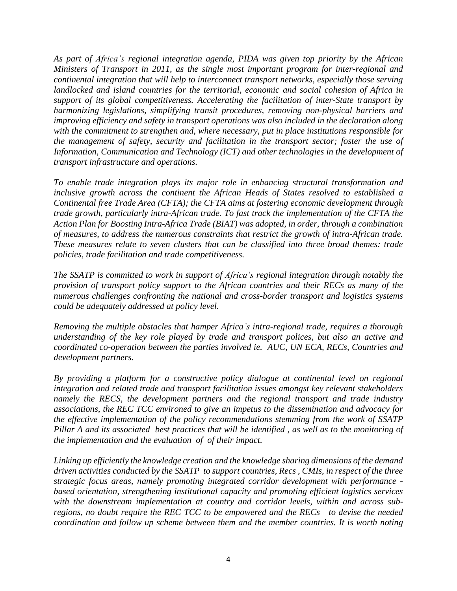*As part of Africa's regional integration agenda, PIDA was given top priority by the African Ministers of Transport in 2011, as the single most important program for inter-regional and continental integration that will help to interconnect transport networks, especially those serving landlocked and island countries for the territorial, economic and social cohesion of Africa in support of its global competitiveness. Accelerating the facilitation of inter-State transport by harmonizing legislations, simplifying transit procedures, removing non-physical barriers and improving efficiency and safety in transport operations was also included in the declaration along with the commitment to strengthen and, where necessary, put in place institutions responsible for the management of safety, security and facilitation in the transport sector; foster the use of Information, Communication and Technology (ICT) and other technologies in the development of transport infrastructure and operations.*

*To enable trade integration plays its major role in enhancing structural transformation and inclusive growth across the continent the African Heads of States resolved to established a Continental free Trade Area (CFTA); the CFTA aims at fostering economic development through trade growth, particularly intra-African trade. To fast track the implementation of the CFTA the Action Plan for Boosting Intra-Africa Trade (BIAT) was adopted, in order, through a combination of measures, to address the numerous constraints that restrict the growth of intra-African trade. These measures relate to seven clusters that can be classified into three broad themes: trade policies, trade facilitation and trade competitiveness.*

*The SSATP is committed to work in support of Africa's regional integration through notably the provision of transport policy support to the African countries and their RECs as many of the numerous challenges confronting the national and cross-border transport and logistics systems could be adequately addressed at policy level.*

*Removing the multiple obstacles that hamper Africa's intra-regional trade, requires a thorough understanding of the key role played by trade and transport polices, but also an active and coordinated co-operation between the parties involved ie. AUC, UN ECA, RECs, Countries and development partners.*

*By providing a platform for a constructive policy dialogue at continental level on regional integration and related trade and transport facilitation issues amongst key relevant stakeholders namely the RECS, the development partners and the regional transport and trade industry associations, the REC TCC environed to give an impetus to the dissemination and advocacy for the effective implementation of the policy recommendations stemming from the work of SSATP* Pillar A and its associated best practices that will be identified, as well as to the monitoring of *the implementation and the evaluation of of their impact.*

*Linking up efficiently the knowledge creation and the knowledge sharing dimensions of the demand driven activities conducted by the SSATP to support countries, Recs , CMIs, in respect of the three strategic focus areas, namely promoting integrated corridor development with performance based orientation, strengthening institutional capacity and promoting efficient logistics services with the downstream implementation at country and corridor levels, within and across subregions, no doubt require the REC TCC to be empowered and the RECs to devise the needed coordination and follow up scheme between them and the member countries. It is worth noting*